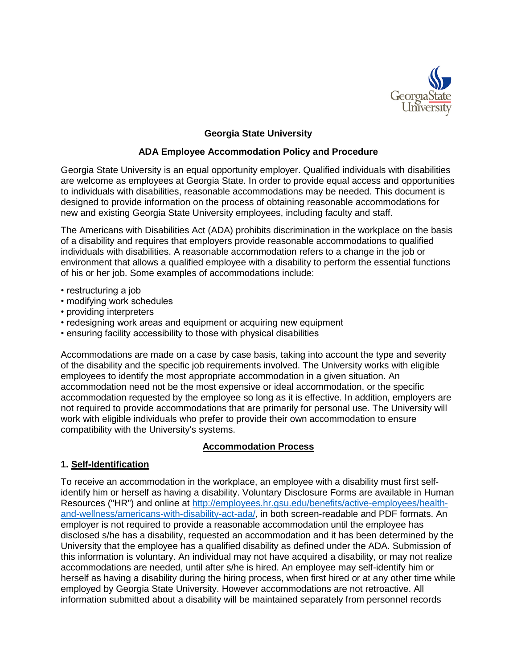

# **Georgia State University**

#### **ADA Employee Accommodation Policy and Procedure**

Georgia State University is an equal opportunity employer. Qualified individuals with disabilities are welcome as employees at Georgia State. In order to provide equal access and opportunities to individuals with disabilities, reasonable accommodations may be needed. This document is designed to provide information on the process of obtaining reasonable accommodations for new and existing Georgia State University employees, including faculty and staff.

The Americans with Disabilities Act (ADA) prohibits discrimination in the workplace on the basis of a disability and requires that employers provide reasonable accommodations to qualified individuals with disabilities. A reasonable accommodation refers to a change in the job or environment that allows a qualified employee with a disability to perform the essential functions of his or her job. Some examples of accommodations include:

- restructuring a job
- modifying work schedules
- providing interpreters
- redesigning work areas and equipment or acquiring new equipment
- ensuring facility accessibility to those with physical disabilities

Accommodations are made on a case by case basis, taking into account the type and severity of the disability and the specific job requirements involved. The University works with eligible employees to identify the most appropriate accommodation in a given situation. An accommodation need not be the most expensive or ideal accommodation, or the specific accommodation requested by the employee so long as it is effective. In addition, employers are not required to provide accommodations that are primarily for personal use. The University will work with eligible individuals who prefer to provide their own accommodation to ensure compatibility with the University's systems.

#### **Accommodation Process**

### **1. Self-Identification**

To receive an accommodation in the workplace, an employee with a disability must first selfidentify him or herself as having a disability. Voluntary Disclosure Forms are available in Human Resources ("HR") and online at [http://employees.hr.gsu.edu/benefits/active-employees/health](http://employees.hr.gsu.edu/benefits/active-employees/health-and-wellness/americans-with-disability-act-ada/)[and-wellness/americans-with-disability-act-ada/,](http://employees.hr.gsu.edu/benefits/active-employees/health-and-wellness/americans-with-disability-act-ada/) in both screen-readable and PDF formats. An employer is not required to provide a reasonable accommodation until the employee has disclosed s/he has a disability, requested an accommodation and it has been determined by the University that the employee has a qualified disability as defined under the ADA. Submission of this information is voluntary. An individual may not have acquired a disability, or may not realize accommodations are needed, until after s/he is hired. An employee may self-identify him or herself as having a disability during the hiring process, when first hired or at any other time while employed by Georgia State University. However accommodations are not retroactive. All information submitted about a disability will be maintained separately from personnel records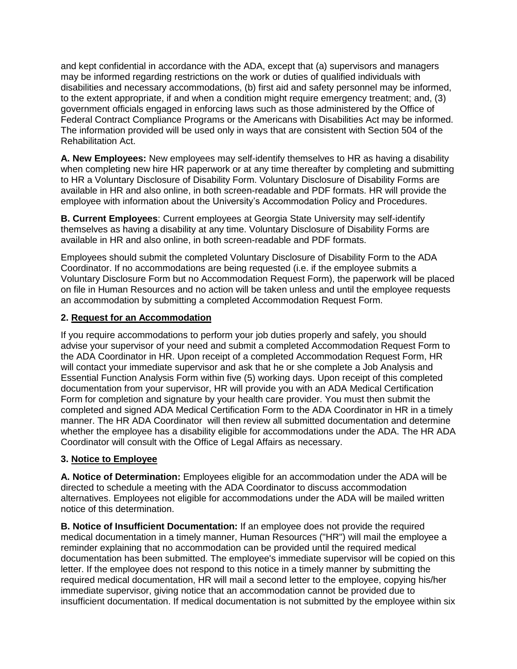and kept confidential in accordance with the ADA, except that (a) supervisors and managers may be informed regarding restrictions on the work or duties of qualified individuals with disabilities and necessary accommodations, (b) first aid and safety personnel may be informed, to the extent appropriate, if and when a condition might require emergency treatment; and, (3) government officials engaged in enforcing laws such as those administered by the Office of Federal Contract Compliance Programs or the Americans with Disabilities Act may be informed. The information provided will be used only in ways that are consistent with Section 504 of the Rehabilitation Act.

**A. New Employees:** New employees may self-identify themselves to HR as having a disability when completing new hire HR paperwork or at any time thereafter by completing and submitting to HR a Voluntary Disclosure of Disability Form. Voluntary Disclosure of Disability Forms are available in HR and also online, in both screen-readable and PDF formats. HR will provide the employee with information about the University's Accommodation Policy and Procedures.

**B. Current Employees**: Current employees at Georgia State University may self-identify themselves as having a disability at any time. Voluntary Disclosure of Disability Forms are available in HR and also online, in both screen-readable and PDF formats.

Employees should submit the completed Voluntary Disclosure of Disability Form to the ADA Coordinator. If no accommodations are being requested (i.e. if the employee submits a Voluntary Disclosure Form but no Accommodation Request Form), the paperwork will be placed on file in Human Resources and no action will be taken unless and until the employee requests an accommodation by submitting a completed Accommodation Request Form.

### **2. Request for an Accommodation**

If you require accommodations to perform your job duties properly and safely, you should advise your supervisor of your need and submit a completed Accommodation Request Form to the ADA Coordinator in HR. Upon receipt of a completed Accommodation Request Form, HR will contact your immediate supervisor and ask that he or she complete a Job Analysis and Essential Function Analysis Form within five (5) working days. Upon receipt of this completed documentation from your supervisor, HR will provide you with an ADA Medical Certification Form for completion and signature by your health care provider. You must then submit the completed and signed ADA Medical Certification Form to the ADA Coordinator in HR in a timely manner. The HR ADA Coordinator will then review all submitted documentation and determine whether the employee has a disability eligible for accommodations under the ADA. The HR ADA Coordinator will consult with the Office of Legal Affairs as necessary.

### **3. Notice to Employee**

**A. Notice of Determination:** Employees eligible for an accommodation under the ADA will be directed to schedule a meeting with the ADA Coordinator to discuss accommodation alternatives. Employees not eligible for accommodations under the ADA will be mailed written notice of this determination.

**B. Notice of Insufficient Documentation:** If an employee does not provide the required medical documentation in a timely manner, Human Resources ("HR") will mail the employee a reminder explaining that no accommodation can be provided until the required medical documentation has been submitted. The employee's immediate supervisor will be copied on this letter. If the employee does not respond to this notice in a timely manner by submitting the required medical documentation, HR will mail a second letter to the employee, copying his/her immediate supervisor, giving notice that an accommodation cannot be provided due to insufficient documentation. If medical documentation is not submitted by the employee within six